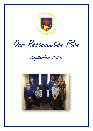

Our Reconnection Plan

September 2020

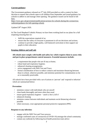## **Current guidance**

The Government guidance released on  $2<sup>nd</sup>$  July 2020 provided us with a context for their decision to request that schools open to all children from September and issued guidance for schools to adhere to and manage when opening. The guidance issued can be found in full here.

[https://www.gov.uk/government/publications/actions-for-schools-during-the-coronavirus](https://www.gov.uk/government/publications/actions-for-schools-during-the-coronavirus-outbreak/guidance-for-full-opening-schools)[outbreak/guidance-for-full-opening-schools](https://www.gov.uk/government/publications/actions-for-schools-during-the-coronavirus-outbreak/guidance-for-full-opening-schools)

Updated 28<sup>th</sup> August 2020.

At The Good Shepherd Catholic Primary we have been working hard on our plans for a full reopening ensuring that we:

- fulfil the expectations required of us;
- ensure that the safety of everyone is paramount in all our decisions and actions;
- continue to provide a high quality, well balanced curriculum to best support our pupils in their education.

## **Keeping children and staff safe**

**All schools must comply with health and safety law which requires them to assess risks and put in place proportionate control measures. Essential measures include:** 

- a requirement that people who are ill stay at home;
- robust hand and respiratory hygiene;
- enhanced cleaning arrangements;
- active engagement with NHS Test and Trace;
- formal consideration of how to reduce contacts and maximise distancing between those in school, wherever possible, and minimise potential for contamination so far as is reasonably practicable.

All schools have been provided with a set of actions to 'prevent' and 'respond to infection' which are summarised below:

#### **Prevention:**

- minimise contact with individuals who are unwell
- clean hands thoroughly and more often than usual
- ensure good respiratory hygiene 'catch it, bin it, kill it'
- enhanced cleaning
- minimise contact between individuals and maintain social distancing wherever possible
- where necessary, wear appropriate personal protective equipment (PPE)

## **Response to any infection:**

- engage with the NHS Test and Trace process
- manage confirmed cases of coronavirus (COVID-19) amongst the school community
- contain any outbreak by following local health protection team advice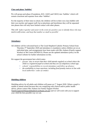## **Class and phase 'bubbles'**

We will group each phase (Foundation, KS1, LKS2 and UKS2) into 'bubbles' which will remain consistent and separate from other 'bubbles'.

For the majority of their time in school, the children will be in their own class bubble with their own teacher and support staff, but at playtimes and lunchtimes they will be separated into phases that will only have limited contact with other phases.

This will *'make it quicker and easier in the event of a positive case to identify those who may need to self-isolate, and keep that number as small as possible'.* 

#### **Attendance**

All children will be welcomed back to The Good Shepherd Catholic Primary School from Thursday 3<sup>rd</sup> September 2020 and attendance is mandatory unless children are on an individual plan, and arrangements have been made with Mrs Auburn (Family support Worker) or Ms Green (SENDCO). Please see the updated attendance policy on the school website for further information on this.

We support the government here which notes:

- *parents' duty to secure that their child attends regularly at school where the child is a registered pupil at school and they are of compulsory school age;*
- *schools' responsibilities to record attendance and follow up absence;*
- *the availability to issue sanctions, including fixed penalty notices in line with local authorities' codes of conduct.*

## **Shielding children**

Shielding advice for all adults and children will pause on  $1<sup>st</sup>$  August 2020. Where a pupil is unable to attend school because they are complying with clinical and/or public health advice, please contact Mrs Auburn our Family Support Worker [\(familysupport@thegoodshepherd.northants.sch.uk\)](mailto:familysupport@thegoodshepherd.northants.sch.uk) and we will work with you to support your child the best possible way we can.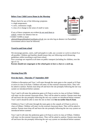## **Before Your Child Leaves Home in the Morning**

Please check for any of the following symptoms

- a high temperature;
- a new, continuous cough;
- a loss of or change to the sense of smell or taste.

If any of these symptoms are evident do not send them to school, contact our absence line on

• 01604 714399 or email [admin@thegoodshepherd.northants.sch.uk](mailto:admin@thegoodshepherd.northants.sch.uk) you can also log an absence via ParentMail Government advice must be followed.

## **Travel to and from school**

We encourage parents, carers, staff and pupils to walk, use a scooter or cycle to school if at all possible. Children and families should ensure they are following social distancing guidelines whilst travelling to and from school.

Face coverings are required at all times on public transport (including for children, over the age of 11).

**Parents should not congregate at the school gates to have a chat or a catch up.** 

#### **Morning Drop Offs**

## **First day back – Thursday 3 rd September 2020**

Children in Reception and Year 1 will enter through the main gates to the carpark at 8.35am to arrive in class at 8.45am. Children will enter via the external classroom doors. They will be asked to sanitize. Parents must drop off and leave the site promptly following the one way system we introduced before summer.

Year 5 and 6 will enter the pedestrian gates at 8.35am to arrive in class at 8.45am Children will enter via the external classroom doors. They will be asked to sanitize. Parents must drop off and leave the site promptly following the one way system we introduced before summer. Year 5 and 6 should be able to enter the site on their own **but no earlier than 8.35am**.

Children in Year 2 will enter through the main gates to the carpark at 8.55am to arrive in class at 9.00am. Children will enter via the external classroom doors. They will be asked to sanitize. Parents must drop off and leave the site promptly following the one way system we introduced before summer.

Year 3 and 4 will enter the pedestrian gates at 8.55am to arrive in class at 9.00am. Children will enter via the external classroom doors. They will be asked to sanitize. Parents must drop off and leave the site promptly following the one way system we introduced before summer.

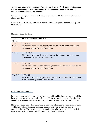To ease congestion, we will continue to have staggered start and finish times**. It is important that we do not have parents congregating at the school gates and that we limit the number of interactions across bubbles.** 

We would encourage only 1 parent/adult to drop off and collect to help minimise the number of adults on site.

Where possible, particularly with older children we would ask parents to drop at the gate in the mornings.

| Year        | From 3rd September onwards                                                                                                 |  |  |  |  |
|-------------|----------------------------------------------------------------------------------------------------------------------------|--|--|--|--|
| Group       |                                                                                                                            |  |  |  |  |
| Year        | 8.35-8.45am                                                                                                                |  |  |  |  |
| EYFS, 1     | Please enter school via the car park gate and line up outside the door to your<br>classroom socially distanced from others |  |  |  |  |
|             |                                                                                                                            |  |  |  |  |
| Year 2      | 8.55 - 9.00 am                                                                                                             |  |  |  |  |
|             | Please enter school via the car park gate and line up outside the door to your                                             |  |  |  |  |
|             | classroom socially distanced from others                                                                                   |  |  |  |  |
|             |                                                                                                                            |  |  |  |  |
| Year $3, 4$ | 8.55 - 9.00 am                                                                                                             |  |  |  |  |
|             | Please enter school via the pedestrian gate and line up outside the door to your                                           |  |  |  |  |
|             | classroom socially distanced from others                                                                                   |  |  |  |  |
|             |                                                                                                                            |  |  |  |  |
| Year $5, 6$ | 8.35-8.45am                                                                                                                |  |  |  |  |
|             |                                                                                                                            |  |  |  |  |
|             | Please enter school via the pedestrian gate and line up outside the door to your                                           |  |  |  |  |
|             | classroom socially distanced from others                                                                                   |  |  |  |  |

## **End of the day – Collection**

Parents are requested to line up socially distanced outside child's class and your child will be brought to you. Once you have collected your child, please leave the area and the school site as quickly as possible to allow the next group of parents to line up to collect their children.

Please can parents ensure they are on time to ensure a swift collection. This system has been working very effectively during reopening for the priority year groups, however in September there will be a greater number of pupils being collected and a shorter period of time between each collection. This is to support families with siblings.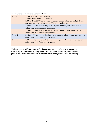| <b>Year Group</b> | <b>Time and Collection Point</b>                                                            |  |  |  |  |  |
|-------------------|---------------------------------------------------------------------------------------------|--|--|--|--|--|
| <b>EYFS</b>       | $12.00$ (from $3/09/20 - 11/09/20$ )                                                        |  |  |  |  |  |
|                   | 1.00pm (from $14/09/20 - 18/09/20$ )                                                        |  |  |  |  |  |
|                   | 3.00pm (from 21/09/20 onwards) Please enter main gate to car park, following                |  |  |  |  |  |
|                   | one way system to collect your child from their classroom.                                  |  |  |  |  |  |
|                   | Please enter main gate to car park, following one way system to<br>3.00 <sub>pm</sub>       |  |  |  |  |  |
|                   | collect your child from their classroom.                                                    |  |  |  |  |  |
| $\mathcal{D}$     | 3.15pm Please enter main gate to car park, following one way system to                      |  |  |  |  |  |
|                   | collect your child from their classroom.                                                    |  |  |  |  |  |
| 3 and 4           | Please enter pedestrian gate to car park, following one way system to<br>3.15 <sub>pm</sub> |  |  |  |  |  |
|                   | collect your child from their classroom                                                     |  |  |  |  |  |
| 5 and 6           | Please enter pedestrian gate to car park, following one way system to<br>3.00 <sub>pm</sub> |  |  |  |  |  |
|                   | collect your child from their classroom                                                     |  |  |  |  |  |
|                   |                                                                                             |  |  |  |  |  |

**\*\*Please note we will review the collection arrangements regularly in September to ensure they are working effectively and we are happy with the safety precautions in place. Please be aware we will make amendments to timings if we feel it is necessary.**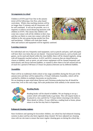#### **Arrangements in school**

Children in EYFS (and Year One in the autumn term) will be following a free flow, play-based curriculum. Whole class teaching sessions will be no longer than 15 minutes and all classrooms will be well ventilated. It will not be possible, nor is it required, to enforce social distancing measures with children in EYFS. This means that children will come into contact with all the children in their class and they are likely to come into contact with all the children in the year group during outside free flow and lunchtimes. Children will wash their hands



often and surfaces and equipment will be regularly sanitised.

#### **Learning resources**

For individual and very frequently used equipment, such as pencils and pens, staff and pupils will have their own items that are not shared. Classroom based resources, such as books and games, can be used and shared within the class bubble; these will be cleaned regularly, along with all frequently touched surfaces. In KS1 and KS2, resources that are shared between classes or bubbles, such as sports, art and science equipment will be cleaned frequently and meticulously and always between bubbles, or rotated to allow them to be left unused and out of reach for a period of 48 hours (72 hours for plastics) between use by different bubbles.

## **Assemblies**

There will be no traditional whole school or key stage assemblies during the first part of the autumn term and these will be replaced by a Virtual Celebration Assembly, which will be watched by children in multiple classrooms on touchscreens.

We are keeping an open mind about Harvest and Christmas productions but all should be aware that, even at this early stage, full-scale productions look unlikely in the autumn term.



#### **Reading Books**

Reading books will be shared in bubbles. We are hoping to set up a system which will enable books to go home. This will require books to be placed in a box and left for 72 hours before returning to the shelves. More details to follow. If your child has a reading book at home, please return it on the first day back in September.

#### **Enhanced cleaning regimes**

Since lockdown and opening for keyworker children, our school has had enhanced cleaning systems in place and has also been regularly deep cleaned. We have adjusted our cleaning rotas with our site team to ensure that more regular cleaning goes on during the school day –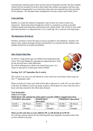with particular attention paid to those surfaces that are frequently touched, like door handles. School staff not normally involved in these duties like teachers and support staff have also been helpful in keeping their own classrooms clean and extra materials have been provided for this purpose. We anticipate these arrangements will stay in place until further notice.

## **Coats and bags**

Initially we would ask children to hang their coats on their own chairs in their own classrooms. Please keep items brought into school to a minimum as much as possible. Children should only bring their packed lunch and a drinks bottle. This will be in class under their desk therefore it is important that it is in a small bag. Not a rucksack with long straps.

## **The importance of fresh air**

Windows and doors will be left open as much as possible to aid ventilation. Teachers will plan as many outdoor learning activities and therefore it is essential that the children come suitably dressed for all weather possibilities.

## **After School Clubs Plan**

As there is a huge need to get our children back being physically active, The Good Shepherd is planning on organising sports clubs for the first half term a little differently.

We will be offering every child in the school from years 1-6 a chance to take part in a multi-sport club for FREE!





Please see below for when your child will be able to take part in a club. We can only offer it to the first 20 children in each year group so places will be given on a first come first serve basis with slips returned to the office drop off point.

## **Year group plan:**

```
Clubs 3:15-4:15pm
```
*(Multi Sports club- playing lots of fun games to get the children engaged and active)*

| <b>TUESDAY</b> afterschool |                       | WEDNESDAY<br>afterschool |           | <b>THURSDAY</b> afterschool |           |
|----------------------------|-----------------------|--------------------------|-----------|-----------------------------|-----------|
| YEAR 1                     | Mr Pearce             | YEAR <sub>3</sub>        | Mr Pearce | YEAR <sub>2</sub>           | Mr Pearce |
| YEAR <sub>5</sub>          | Mr                    | YEAR <sub>4</sub>        | Mr        | YEAR <sub>6</sub>           | Mr        |
|                            | <sub>1</sub> Flanagan |                          | Flanagan  |                             | Flanagan  |

## **These are the same days as your child has PE so will already be in PE kit.**

We will then reassess options for the following half term, hopefully moving towards what we have offered in the past.

8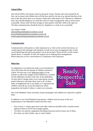## **School Office**

The School Office will remain closed to personal visitors. Parents and carers should do all they can to ensure that children have all that they need for the day (e.g. packed lunches) at the start of the day and if there is an instance where their child needs to be collected at a different time, they should telephone or e-mail the school to make arrangements with as much notice as possible. Senior staff will then arrange to meet parents with their child in the open air. All other communication should be done by telephone or e-mail as far as possible.

Tel: 01604 714399 [admin@thegoodshepherd.northants.sch.uk](mailto:admin@thegoodshepherd.northants.sch.uk) [bursar@thegoodshepherd.northants-ecl.gov.uk](mailto:bursar@thegoodshepherd.northants-ecl.gov.uk) [familysupport@thegoodshepherd.northants.sch.uk](mailto:familysupport@thegoodshepherd.northants.sch.uk)

#### **Communication**

Communication with parents is really important to us. Due to the current restrictions, we would request that meetings with members of staff are by prior arrangement only so that social distancing and safety precautions can be put in place. Please do this via the contact details above. A member of staff will support you in making these arrangements. Please keep face to face conversations to a minimum at the classroom.

#### **Behaviour**

An addendum to our behaviour policy was formulated in June 2020 when the first groups of children returned to school. We have put a new [behaviour policy](http://www.thegoodshepherdcatholicprimaryschool.org.uk/page/?title=Policies+and+Documents&pid=22) on the website to reflect the changes in how behaviour is tracked but the addendum remains at the end. In the addendum, we have had to change some of our expectations around pupils' behaviour and make these clear to all. In these times of heightened risk to our health, it is important that children and staff are aware that behaviour which jeopardises the health of others, is taken very seriously.



Our Good Shepherd values and ethos remain unchanged, and children are expected to uphold them.

In addition to our Good Shepherd expectations, children must be aware of the new requirements in the addendum namely that they must:

- Stay at least 1+ metres apart from each other wherever possible (with a common sense approach taken to EYFS and younger pupils);
- Use their own specific equipment (including resources) and not share any of these;
- Not share any food, drinks, cups or water bottles;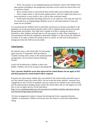• Work, eat and play in our designated group and minimise contact with children from other groups (including in the playground, anywhere on the school site and on their way to and from school)

- Move around school as instructed by their teacher/adult and avoiding other people
- Never cough, sneeze or spit towards another person; catch all coughs and sneezes in a tissue and throw it away (catch it, bin it, kill it), then wash their hands

• Wash hands frequently (including whenever we are asked to), with soap and water for 20 seconds (e.g. by singing Happy Birthday twice) or with hand sanitiser if soap and water are not available.

It is essential that the children listen to and follow instructions at all times and adhere to the guidelines set by the government and the school. This is required inside school and outside during breaks and lunches. Any child who is unable to do this is risking the safety of themselves, other children and staff and we will ask parents to collect them immediately. A risk assessment will then be completed to determine whether it is safe to have the child back in school. If we deem a child to be unsafe to have in school, we will work with parents to arrange provision the child can access safely.

## **School lunches**.

We intend to have a full school offer for hot lunches again from the 3<sup>rd</sup> September 2020 provided by Coombs Catering with a return to the normal payment arrangements via our School Gateway Booking System.

Lunch will be delivered to children in their class bubble. Children will not be mixing in the dining hall.



#### **Year 3 parents should be aware that universal free school dinners do not apply in KS2 and that payment for meals booked will be required.**

If parents are unsure about whether they are entitled to free school meals and need to pay or not, they should contact the school office. We are aware that many families' situations have changed due to the COVID-19 pandemic and you could now be entitled to free school meals and the pupil premium funding, please contact the school office and we will support you with this or you can apply directly via the link below:

[https://www.northamptonshire.gov.uk/councilservices/children-families-education/schools](https://www.northamptonshire.gov.uk/councilservices/children-families-education/schools-and-education/Pages/pupil-premium.aspx)[and-education/Pages/pupil-premium.aspx](https://www.northamptonshire.gov.uk/councilservices/children-families-education/schools-and-education/Pages/pupil-premium.aspx) 

We have arrangements in place to ensure that during lunch time, separation between 'bubbles' is maintained. Children will always have the chance to wash their hands before eating.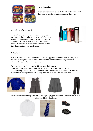

## **Packed Lunches**

Please ensure your child has all the cutlery they need and their meal is easy for them to manage on their own.

## **Availability of water on site**

All pupils should have their own school water bottle that is untouched by other children or staff. No water fountains are currently available at school. Water is available in school to refill children's own water bottles. Disposable plastic cups may also be available that should be thrown away after use.



## **School uniform**

It is an expectation that all children will wear the approved school uniform. We expect our children to take great pride in their school and this is reflected in the way they dress. The new School uniform may now be worn.

We would ask that children arrive PE ready on their set day.

They can either wear a plain Navy/Black Tracksuit (No logos) and a blue T shirt. A number of parents have asked if children can wear their old school uniform T shirt and sweatshirt on PE days with black or navy tracksuit bottoms. This is a great idea.









V neck sweatshirt with logo / cardigan with logo / grey pinafore / skirt / trousers / white shirt / school tie / black school shoes



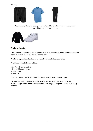

Black or navy shorts or jogging bottoms / sky blue or white t-shirt / black or navy sweatshirt / white or black trainers



## **Uniform Supplier**

The School Uniform Shop is our supplier. Due to the current situation and the size of their shop, delivery is the option available at present.

## **Uniform is purchased online or in store from [The Schoolwear Shop.](https://theschoolwearshop.net/schools-en/good-shepherd-catholic-primary-school/)**

Visit them at the following address:

The Schoolwear Shop Ltd, 40 - 42 Abington Square, Northampton NN1 4AA

You can call them on 01604 635828 or email [info@theschoolwearshop.net.](mailto:info@theschoolwearshop.net)

To purchase uniform online, you will need to register with them by going to the website: **[https://theschoolwearshop.net/schools-en/good-shepherd-catholic-primary](https://theschoolwearshop.net/schools-en/good-shepherd-catholic-primary-school/)[school/](https://theschoolwearshop.net/schools-en/good-shepherd-catholic-primary-school/)**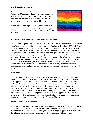## **Curriculum for reconnection**

Whilst we are confident that many children will quickly 'bounce back' after the lockdown we are aware that there will be some children returning who have experienced bereavements amongst friends or family or who have experienced anxiety or stress during this time.

In September we have planned to begin our updated PSHE curriculum and we have now reconfigured this for autumn 2020 so that work in all year groups centres on health and wellbeing.



## **Collective positive mind set – contextualising the lockdown**

At The Good Shepherd Catholic Primary, we do not feel that it is helpful to focus on what has been 'lost' during the shutdown. A young person's school career is typically 468 weeks long and most children have been out of school for 14 weeks, which represents below 3% of their total school career. Moreover, during that time many of our children have been working hard and producing good work and have benefited from time spent with their families, exploring and experiencing different opportunities to grow, learn and achieve in different contexts. Our staff will remain calm and measured in September knowing that whatever the situation, we have the staff with the best knowledge and experience of how to teach, support and help our children in 'closing the gap' where required. We will not make our children worry unnecessarily or make them think that things are worse than they are and where issues present themselves, our language will reflect a 'growth mind set' philosophy – '*you can't do it yet*'.

## **Assessment**

Our teachers will make adaptations establishing 'what has to be learned' rather than sticking rigidly to our usual long term plans. Class teachers will use their own expertise to establish starting points for each class in the autumn term and will likely have to take 'a step back' in order to help children then move forward with confidence but each child and class will be different. In schools, this way of assessing what should be taught next is known as 'formative assessment', that is the judgements teachers make on a day-to-day basis during class work which allow them to assess attainment and progress. To strengthen routines, relationships and resilience it is important that, in a measured supportive way, teachers and children get back to established ways of working rather than spending too long on a formal testing regime, especially when children's confidence will be low.

## **Broad and balanced curriculum**

Although there are some restrictions in place (e.g. singing in large groups) we fully intend to continue with our normal ambitious and broad curriculum in all subjects from the start of the autumn term. We will make use of existing flexibilities to begin at appropriate starting points for all our children and this may mean that not all subjects are taught every term.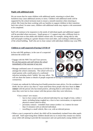## **Pupils with additional needs**

We are aware that for some children with additional needs, returning to school after lockdown may cause additional anxiety or stress. Children with additional needs will be supported by the school inclusion team to ensure a smooth transition when returning to school. Ms Green has been working with our families to support children in their transition back into school. In some cases, children with additional needs may require a risk assessment to be completed.

Staff will continue to be responsive to the needs of individual pupils and additional support will be provided where necessary. Small group or 1:1 support may take a different form in the autumn term so that adults and children remain safe, for example, sitting side by side, staff and pupils working at a greater distance from each other, and working in different parts of the school building. Staff who are in close contact with individual children may wear PPE.

## **Children or staff suspected of having COVID-19**

In line with DfE guidance, in the case of a suspected infection the school will:

- Engage with the NHS Test and Trace process. We ask that parents and staff inform the school immediately of the outcome of any test;
- Manage confirmed cases of coronavirus (COVID-19) amongst the school community. The school will text or email parents with a notification of a confirmed infection including which 'bubble' this may affect. We



will not share the names or details of people suspected of having or conformed to have coronavirus;

• Contain any outbreak by following local health protection team advice. For the avoidance of doubt, the new advice says that we 'must send home those people who have been in **close contact** with the person who has tested positive, advising them to self-isolate for 14 days since they were last in close contact with that person when they were infectious.

'Close contact' now means:

- face to face contact with an infected individual for any length of time, within 1 metre, including being coughed on, a face to face conversation, or unprotected physical contact (skin-to-skin);
- proximity contacts extended close contact (within 1 to 2 metres for more than 15 minutes) with an infected individual;
- travelling in a small vehicle, like a car, with an infected person.
- When a case is suspected in school, the child will be immediately isolated from other pupils and staff. Staff supervising these children should also try to ensure they remain two metres away while still aiming to provide the reassurance and care particularly young children will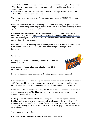need. Enhanced PPE is available for these staff and older children may be offered a mask. The school will contact parents and request they collect their child from the school immediately.

• We ask that parents whose child has been identified as having a suspected case of COVID-19 should seek immediate medical advice.

The guidance says *'Anyone who displays symptoms of coronavirus (COVID-19) can and should get a test*.'

We expect children to self-isolate according to the Public Health England guidance here: https://www.gov.uk/government/publications/covid-19-stay-at-homeguidance/stay-at-homeguidance-for-households-with-possible-coronavirus-covid-19-infection

**Households with a confirmed case of Coronavirus** should follow the advice laid out by Public Health England here: https://www.gov.uk/government/publications/covid-19-stayathome-guidance regarding isolation and should keep their school informed about their planned date of return following isolation.

**In the event of a local authority (Northampton) wide lockdown,** the school would revert to an enhanced version of the arrangements which were in place during the nationwide lockdown.

**KIDZZ** 

## **Wrap around care**

KidsStop will no longer be providing a wrap-around child care service in school.

From **Monday 7th September 2020 school will provide its own breakfast club.**



Wherever possible, we will try to keep children within their own bubbles with the same set of staff. However, this cannot be guaranteed and parents should be aware that children are likely to mix with a limited number of children outside their 'bubble' in breakfast club.

We have made the decision that this was justifiable given that the alternative is no provision at all for working parents. The children will sanitise their hands regularly and additional cleaning measures will be in place.

Booking is available up to an entire term, allowing you to select the days you require. Bookings and payments need to be made through Mrs Rathbone who will be based in front reception on Wednesday afternoons for the following week to ensure a place for your child and adequate staffing levels. Please note, Breakfast club is very popular and sessions do book up in advance.

Session prices are listed below:

## **Breakfast Session - without breakfast (8am-9am/9.15am)** - £3.00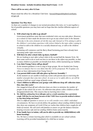#### **Breakfast Session - includes breakfast (8am-9am/9.15am)** - £4.00

#### **There will be no entry after 8.15am**

Please email the office for a Breakfast Club form - [bursar@thegoodshepherd.northants](mailto:bursar@thegoodshepherd.northants-ecl.gov.uk)[ecl.gov.uk](mailto:bursar@thegoodshepherd.northants-ecl.gov.uk)

#### **Questions You May Have**

As there are a number of changes to our normal procedures this term, we've put together a list of possible questions you may have and we hope that this clarifies different aspects of school.

#### **1. Will school trips be able to go ahead?**

*Government guidelines state that non-residential visits can now take place. However, as a school we have made the decision not to go on any school visits in the Autumn Term due to the extra elements of risk this may add. Instead we'll be aiming to add to the children's curriculum experience with visitors linked to the topic either coming in to school to talk to the children in a socially distanced way, or talk to the children virtually.* 

*Swimming will commence and the Barry Road Swimming pool have already been operating under tight restrictions.* 

#### **2. Will there be after-school clubs eg dance, football?**

*We are looking to start after-school clubs in the second half the Autumn Term. We have some work to do to work out how to run these in the safest way possible, so that as many children as possible can benefit from them, whilst maintaining our bubbles.* 

#### **3. Can choir/Young Voices still go ahead?**

*At the moment guidance is not to sing in large groups. We are booked into Young Voices in January but it is very likely that this will be postponed. We'll update you when we have information from Young Voices?*

## **4. Can parent/child events still take place eg Harvest Assembly ?**

*At the moment we are unable to hold any events with parents due to restricting the number of people that come into school. As soon as we're safely able to, we will be aiming to hold our usual range of family events.* 

**5. I have children in different year groups with different drop off/ collection times. How does this work?**

*Our staggered drop off and collection times are there to minimise the number of people on the school site at once. At collection time please collect children at their designated finish time. This ensures that no learning time is lost.* 

**6. My child has asthma/hay fever/allergies and as a result sometimes has a persistent cough. Will they be sent home because of this? Will I have to provide medical evidence to stop them being sent home?**

*This is a difficult question to answer as we will consider every child's individual circumstances. We have to strictly follow the guidance about sending children home if they show any symptoms of Covid-19 but we realise that children have coughs for all kinds of reasons. We will work with families to ensure we get the balance between keeping everyone safe and not sending children home unnecessarily.*

**7. If my family have to isolate, will you be able to provide my child(children) with home learning?**

*Yes. We have a remote learning plan which is available on our school website. Learning will be provided immediately if a child has to isolate.*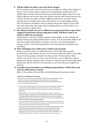#### **8. Will the children be able to cope with all the changes?**

*We are aiming to make school as normal as we possibly can. Many of the changes we have are to do with procedures which are the responsibility of adults and to the children these routines will just become the way that things happen. However, every child is different and we know that some children will just settle quickly back into the routines of school but others will find it difficult. Staff will be very aware of the pastoral needs of children and we have Mrs Auburn, our Family Support Worker, who will always be available to chat to children and provide support. If your child does come home from school upset about anything please let us know and we can make sure that we support them.* 

**9. My child has friends who are in a different year group and he/she is upset about staggered breaks/lunch and not seeing their friends. Will they be able to see friends in different year groups?**

*Unfortunately, we do have to follow guidance about bubbles as this underpins the national strategy for getting children back to school. For the time being children will only have breaks and lunchtimes with their own class. Once national guidance changes on this we will look to going back to our usual systems for playtimes and lunchtimes.* 

#### **10. What will happen if my child is late to school in the morning?**

*Being on time for school is so important and we will be following our usual procedures for when children are late. You will need to sign your child in at the office if you arrive late giving a reason for why they are late. We know that for those children who haven't been at school since March there may be difficulties initially getting back into the morning routine. Please let us know if you are having difficulties getting your child to school in a morning and we will work with you to support you with this.* 

## **11. A member of our household was shielding during lockdown. Will he/she be safe when my child returns to school?**

*Below is the guidance from the DfE around shielding and returning to school*

#### Pupils who are shielding or self-isolating

We now know much more about coronavirus (COVID-19) and so in future there will be far fewer children and young people advised to shield whenever community transmission rates are high. Therefore, the majority of pupils will be able to return to school. You should note however that:

- a small number of pupils will still be unable to attend in line with public health advice because they are self-isolating and have had symptoms or a positive test result themselves; or because they are a close contact of someone who has coronavirus  $(COVID-19)$
- shielding advice for all adults and children will pause on 1 August, subject to a continued decline in the rates of community transmission of coronavirus (COVID-19). This means that even the small number of pupils who will remain on the shielded patient list can also return to school, as can those who have family members who are shielding. Read the current advice on shielding
- if rates of the disease rise in local areas, children (or family members) from that area, and that area only, will be advised to shield during the period where rates remain high and therefore they may be temporarily absent (see below).
- some pupils no longer required to shield but who generally remain under the care of a specialist health professional may need to discuss their care with their health professional before returning to school (usually at their next planned clinical appointment). You can find more advice from the Royal College of Paediatrics and Child Health at COVID-19 - 'shielding' guidance for children and young people